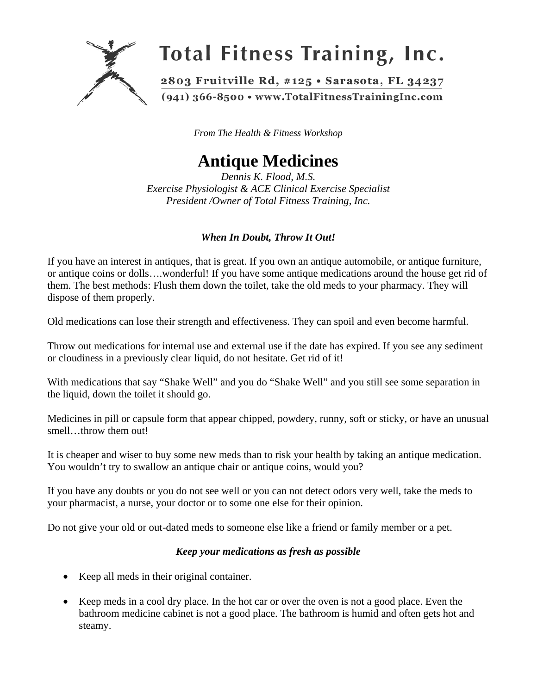

*From The Health & Fitness Workshop* 

# **Antique Medicines**

*Dennis K. Flood, M.S. Exercise Physiologist & ACE Clinical Exercise Specialist President /Owner of Total Fitness Training, Inc.*

## *When In Doubt, Throw It Out!*

If you have an interest in antiques, that is great. If you own an antique automobile, or antique furniture, or antique coins or dolls….wonderful! If you have some antique medications around the house get rid of them. The best methods: Flush them down the toilet, take the old meds to your pharmacy. They will dispose of them properly.

Old medications can lose their strength and effectiveness. They can spoil and even become harmful.

Throw out medications for internal use and external use if the date has expired. If you see any sediment or cloudiness in a previously clear liquid, do not hesitate. Get rid of it!

With medications that say "Shake Well" and you do "Shake Well" and you still see some separation in the liquid, down the toilet it should go.

Medicines in pill or capsule form that appear chipped, powdery, runny, soft or sticky, or have an unusual smell…throw them out!

It is cheaper and wiser to buy some new meds than to risk your health by taking an antique medication. You wouldn't try to swallow an antique chair or antique coins, would you?

If you have any doubts or you do not see well or you can not detect odors very well, take the meds to your pharmacist, a nurse, your doctor or to some one else for their opinion.

Do not give your old or out-dated meds to someone else like a friend or family member or a pet.

#### *Keep your medications as fresh as possible*

- Keep all meds in their original container.
- Keep meds in a cool dry place. In the hot car or over the oven is not a good place. Even the bathroom medicine cabinet is not a good place. The bathroom is humid and often gets hot and steamy.